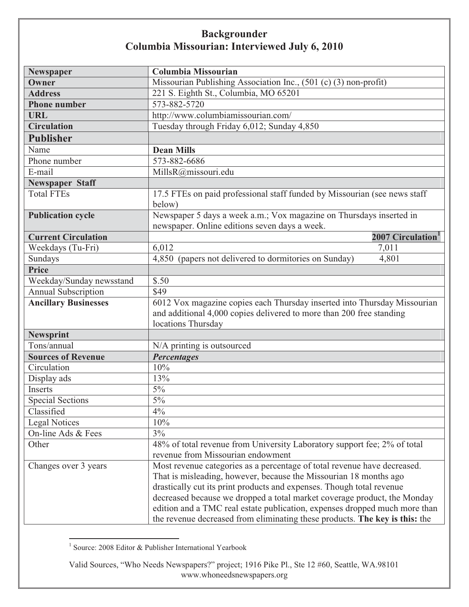| Newspaper                   | Columbia Missourian                                                         |
|-----------------------------|-----------------------------------------------------------------------------|
| Owner                       | Missourian Publishing Association Inc., (501 (c) (3) non-profit)            |
| <b>Address</b>              | 221 S. Eighth St., Columbia, MO 65201                                       |
| <b>Phone number</b>         | 573-882-5720                                                                |
| <b>URL</b>                  | http://www.columbiamissourian.com/                                          |
| <b>Circulation</b>          | Tuesday through Friday 6,012; Sunday 4,850                                  |
| <b>Publisher</b>            |                                                                             |
| Name                        | <b>Dean Mills</b>                                                           |
| Phone number                | 573-882-6686                                                                |
| E-mail                      | MillsR@missouri.edu                                                         |
| <b>Newspaper Staff</b>      |                                                                             |
| <b>Total FTEs</b>           | 17.5 FTEs on paid professional staff funded by Missourian (see news staff   |
|                             | below)                                                                      |
| <b>Publication cycle</b>    | Newspaper 5 days a week a.m.; Vox magazine on Thursdays inserted in         |
|                             | newspaper. Online editions seven days a week.                               |
| <b>Current Circulation</b>  | 2007 Circulation <sup>1</sup>                                               |
| Weekdays (Tu-Fri)           | 6,012<br>7,011                                                              |
| Sundays                     | 4,850 (papers not delivered to dormitories on Sunday)<br>4,801              |
| <b>Price</b>                |                                                                             |
| Weekday/Sunday newsstand    | \$.50                                                                       |
| <b>Annual Subscription</b>  | \$49                                                                        |
| <b>Ancillary Businesses</b> | 6012 Vox magazine copies each Thursday inserted into Thursday Missourian    |
|                             | and additional 4,000 copies delivered to more than 200 free standing        |
|                             | locations Thursday                                                          |
| <b>Newsprint</b>            |                                                                             |
| Tons/annual                 | N/A printing is outsourced                                                  |
| <b>Sources of Revenue</b>   | <b>Percentages</b>                                                          |
| Circulation                 | 10%                                                                         |
| Display ads                 | 13%                                                                         |
| Inserts                     | $5\%$                                                                       |
| <b>Special Sections</b>     | $5\%$                                                                       |
| Classified                  | $4\%$                                                                       |
| <b>Legal Notices</b>        | 10%                                                                         |
| On-line Ads & Fees          | 3%                                                                          |
| Other                       | 48% of total revenue from University Laboratory support fee; 2% of total    |
|                             | revenue from Missourian endowment                                           |
| Changes over 3 years        | Most revenue categories as a percentage of total revenue have decreased.    |
|                             | That is misleading, however, because the Missourian 18 months ago           |
|                             | drastically cut its print products and expenses. Though total revenue       |
|                             | decreased because we dropped a total market coverage product, the Monday    |
|                             | edition and a TMC real estate publication, expenses dropped much more than  |
|                             | the revenue decreased from eliminating these products. The key is this: the |

 1 Source: 2008 Editor & Publisher International Yearbook

Valid Sources, "Who Needs Newspapers?" project; 1916 Pike Pl., Ste 12 #60, Seattle, WA.98101 www.whoneedsnewspapers.org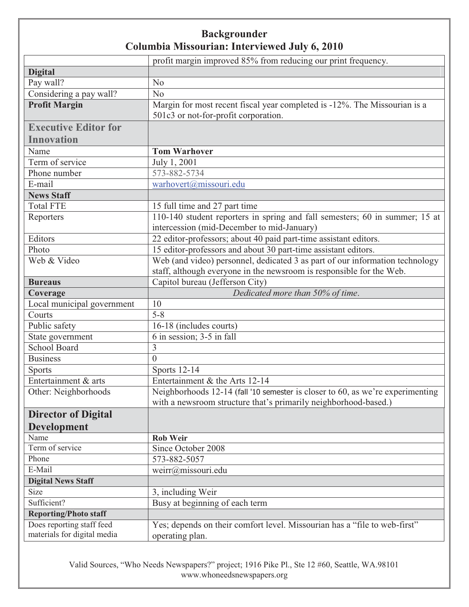|                              | profit margin improved 85% from reducing our print frequency.                  |
|------------------------------|--------------------------------------------------------------------------------|
| <b>Digital</b>               |                                                                                |
| Pay wall?                    | N <sub>o</sub>                                                                 |
| Considering a pay wall?      | N <sub>o</sub>                                                                 |
| <b>Profit Margin</b>         | Margin for most recent fiscal year completed is -12%. The Missourian is a      |
|                              | 501c3 or not-for-profit corporation.                                           |
| <b>Executive Editor for</b>  |                                                                                |
| <b>Innovation</b>            |                                                                                |
| Name                         | <b>Tom Warhover</b>                                                            |
| Term of service              | July 1, 2001                                                                   |
| Phone number                 | 573-882-5734                                                                   |
| E-mail                       | warhovert@missouri.edu                                                         |
| <b>News Staff</b>            |                                                                                |
| <b>Total FTE</b>             | 15 full time and 27 part time                                                  |
| Reporters                    | 110-140 student reporters in spring and fall semesters; 60 in summer; 15 at    |
|                              | intercession (mid-December to mid-January)                                     |
| Editors                      | 22 editor-professors; about 40 paid part-time assistant editors.               |
| Photo                        | 15 editor-professors and about 30 part-time assistant editors.                 |
| Web & Video                  | Web (and video) personnel, dedicated 3 as part of our information technology   |
|                              | staff, although everyone in the newsroom is responsible for the Web.           |
| <b>Bureaus</b>               | Capitol bureau (Jefferson City)                                                |
| Coverage                     | Dedicated more than 50% of time.                                               |
| Local municipal government   | 10                                                                             |
| Courts                       | $5 - 8$                                                                        |
| Public safety                | 16-18 (includes courts)                                                        |
| State government             | 6 in session; 3-5 in fall                                                      |
| <b>School Board</b>          | $\overline{3}$                                                                 |
| <b>Business</b>              | $\theta$                                                                       |
| <b>Sports</b>                | <b>Sports 12-14</b>                                                            |
| Entertainment & arts         | Entertainment & the Arts 12-14                                                 |
| Other: Neighborhoods         | Neighborhoods 12-14 (fall '10 semester is closer to 60, as we're experimenting |
|                              | with a newsroom structure that's primarily neighborhood-based.)                |
| <b>Director of Digital</b>   |                                                                                |
| <b>Development</b>           |                                                                                |
| Name                         | <b>Rob Weir</b>                                                                |
| Term of service              | Since October 2008                                                             |
| Phone                        | 573-882-5057                                                                   |
| E-Mail                       | weirr@missouri.edu                                                             |
| <b>Digital News Staff</b>    |                                                                                |
| Size                         | 3, including Weir                                                              |
| Sufficient?                  | Busy at beginning of each term                                                 |
| <b>Reporting/Photo staff</b> |                                                                                |
| Does reporting staff feed    | Yes; depends on their comfort level. Missourian has a "file to web-first"      |
| materials for digital media  | operating plan.                                                                |

Valid Sources, "Who Needs Newspapers?" project; 1916 Pike Pl., Ste 12 #60, Seattle, WA.98101 www.whoneedsnewspapers.org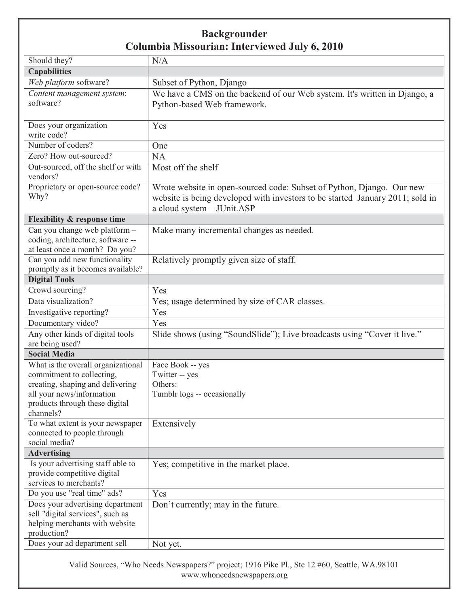| Should they?                                                       | N/A                                                                           |
|--------------------------------------------------------------------|-------------------------------------------------------------------------------|
| <b>Capabilities</b>                                                |                                                                               |
| Web platform software?                                             | Subset of Python, Django                                                      |
| Content management system:                                         | We have a CMS on the backend of our Web system. It's written in Django, a     |
| software?                                                          | Python-based Web framework.                                                   |
|                                                                    |                                                                               |
| Does your organization                                             | Yes                                                                           |
| write code?                                                        |                                                                               |
| Number of coders?                                                  | One                                                                           |
| Zero? How out-sourced?                                             | <b>NA</b>                                                                     |
| Out-sourced, off the shelf or with<br>vendors?                     | Most off the shelf                                                            |
| Proprietary or open-source code?                                   | Wrote website in open-sourced code: Subset of Python, Django. Our new         |
| Why?                                                               | website is being developed with investors to be started January 2011; sold in |
|                                                                    | a cloud system - JUnit.ASP                                                    |
| <b>Flexibility &amp; response time</b>                             |                                                                               |
| Can you change web platform -                                      | Make many incremental changes as needed.                                      |
| coding, architecture, software --                                  |                                                                               |
| at least once a month? Do you?                                     |                                                                               |
| Can you add new functionality                                      | Relatively promptly given size of staff.                                      |
| promptly as it becomes available?                                  |                                                                               |
| <b>Digital Tools</b>                                               |                                                                               |
| Crowd sourcing?                                                    | Yes                                                                           |
| Data visualization?                                                | Yes; usage determined by size of CAR classes.                                 |
| Investigative reporting?                                           | Yes                                                                           |
| Documentary video?                                                 | Yes                                                                           |
| Any other kinds of digital tools                                   | Slide shows (using "SoundSlide"); Live broadcasts using "Cover it live."      |
| are being used?                                                    |                                                                               |
| <b>Social Media</b>                                                |                                                                               |
| What is the overall organizational                                 | Face Book -- yes                                                              |
| commitment to collecting,<br>creating, shaping and delivering      | Twitter -- yes<br>Others:                                                     |
| all your news/information                                          | Tumblr logs -- occasionally                                                   |
| products through these digital                                     |                                                                               |
| channels?                                                          |                                                                               |
| To what extent is your newspaper                                   | Extensively                                                                   |
| connected to people through                                        |                                                                               |
| social media?                                                      |                                                                               |
| <b>Advertising</b>                                                 |                                                                               |
| Is your advertising staff able to                                  | Yes; competitive in the market place.                                         |
| provide competitive digital                                        |                                                                               |
| services to merchants?                                             |                                                                               |
| Do you use "real time" ads?                                        | Yes                                                                           |
| Does your advertising department                                   | Don't currently; may in the future.                                           |
| sell "digital services", such as<br>helping merchants with website |                                                                               |
| production?                                                        |                                                                               |
| Does your ad department sell                                       | Not yet.                                                                      |
|                                                                    |                                                                               |

Valid Sources, "Who Needs Newspapers?" project; 1916 Pike Pl., Ste 12 #60, Seattle, WA.98101 www.whoneedsnewspapers.org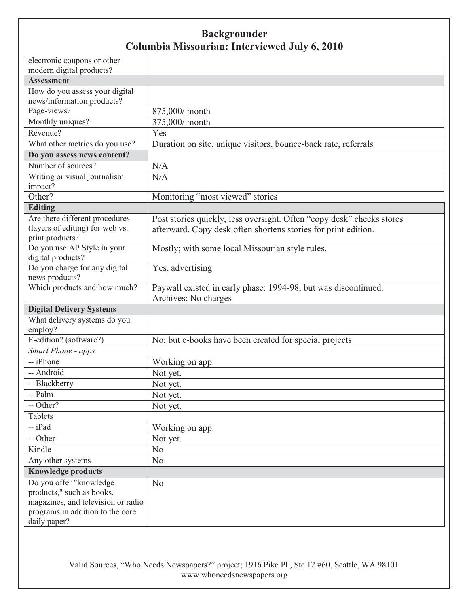| electronic coupons or other                                  |                                                                       |
|--------------------------------------------------------------|-----------------------------------------------------------------------|
| modern digital products?                                     |                                                                       |
| <b>Assessment</b>                                            |                                                                       |
| How do you assess your digital<br>news/information products? |                                                                       |
| Page-views?                                                  | 875,000/ month                                                        |
| Monthly uniques?                                             | 375,000/ month                                                        |
| Revenue?                                                     | Yes                                                                   |
| What other metrics do you use?                               | Duration on site, unique visitors, bounce-back rate, referrals        |
| Do you assess news content?                                  |                                                                       |
| Number of sources?                                           | N/A                                                                   |
| Writing or visual journalism                                 | N/A                                                                   |
| impact?                                                      |                                                                       |
| Other?                                                       | Monitoring "most viewed" stories                                      |
| <b>Editing</b>                                               |                                                                       |
| Are there different procedures                               | Post stories quickly, less oversight. Often "copy desk" checks stores |
| (layers of editing) for web vs.                              | afterward. Copy desk often shortens stories for print edition.        |
| print products?                                              |                                                                       |
| Do you use AP Style in your                                  | Mostly; with some local Missourian style rules.                       |
| digital products?<br>Do you charge for any digital           |                                                                       |
| news products?                                               | Yes, advertising                                                      |
| Which products and how much?                                 | Paywall existed in early phase: 1994-98, but was discontinued.        |
|                                                              | Archives: No charges                                                  |
| <b>Digital Delivery Systems</b>                              |                                                                       |
| What delivery systems do you                                 |                                                                       |
| employ?                                                      |                                                                       |
| E-edition? (software?)                                       | No; but e-books have been created for special projects                |
| <b>Smart Phone - apps</b>                                    |                                                                       |
| -- iPhone                                                    | Working on app.                                                       |
| -- Android                                                   | Not yet.                                                              |
| -- Blackberry                                                | Not yet.                                                              |
| -- Palm                                                      | Not yet.                                                              |
| -- Other?                                                    | Not yet.                                                              |
| Tablets                                                      |                                                                       |
| -- iPad                                                      | Working on app.                                                       |
| -- Other                                                     | Not yet.                                                              |
| Kindle                                                       | N <sub>o</sub>                                                        |
| Any other systems                                            | N <sub>o</sub>                                                        |
| <b>Knowledge products</b>                                    |                                                                       |
| Do you offer "knowledge                                      | N <sub>o</sub>                                                        |
| products," such as books,                                    |                                                                       |
| magazines, and television or radio                           |                                                                       |
| programs in addition to the core                             |                                                                       |
| daily paper?                                                 |                                                                       |